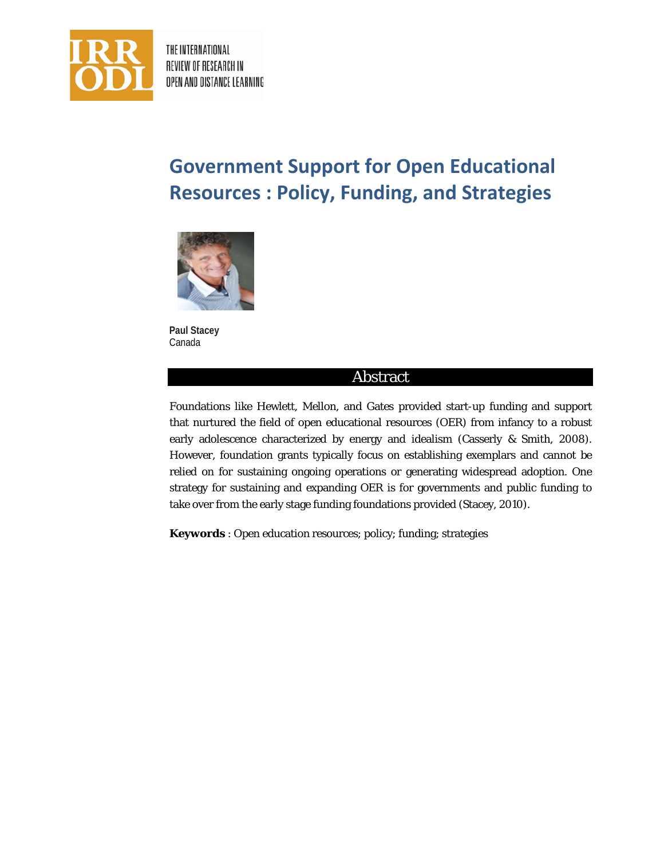

THE INTERNATIONAL REVIEW OF RESEARCH IN OPEN AND DISTANCE LEARNING

# **Government Support for Open Educational Resources : Policy, Funding, and Strategies**



**Paul Stacey** Canada

# Abstract

Foundations like Hewlett, Mellon, and Gates provided start-up funding and support that nurtured the field of open educational resources (OER) from infancy to a robust early adolescence characterized by energy and idealism (Casserly & Smith, 2008). However, foundation grants typically focus on establishing exemplars and cannot be relied on for sustaining ongoing operations or generating widespread adoption. One strategy for sustaining and expanding OER is for governments and public funding to take over from the early stage funding foundations provided (Stacey, 2010).

**Keywords** : Open education resources; policy; funding; strategies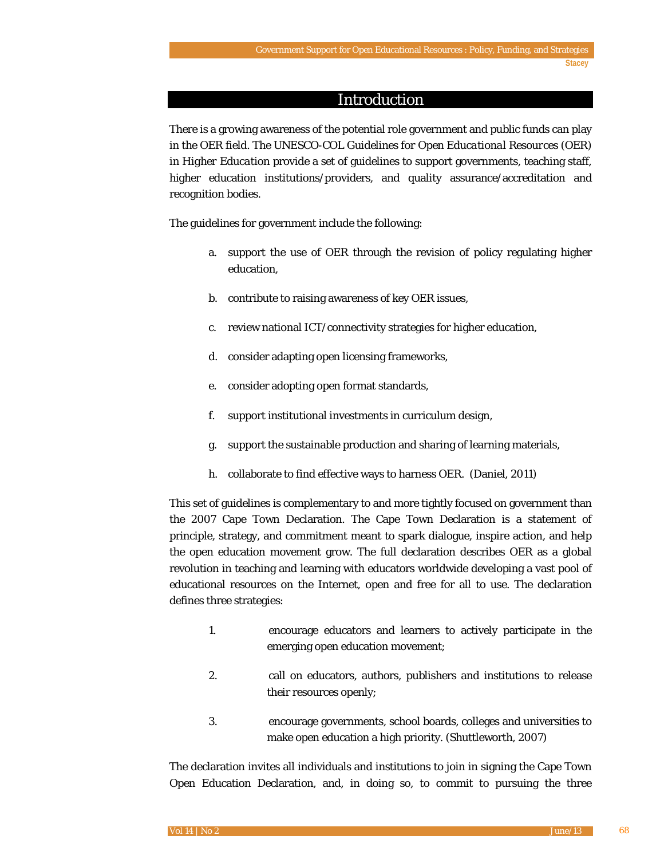### Introduction

There is a growing awareness of the potential role government and public funds can play in the OER field. The UNESCO-COL *Guidelines for Open Educational Resources* (OER) *in Higher Education* provide a set of guidelines to support governments, teaching staff, higher education institutions/providers, and quality assurance/accreditation and recognition bodies.

The guidelines for government include the following:

- a. support the use of OER through the revision of policy regulating higher education,
- b. contribute to raising awareness of key OER issues,
- c. review national ICT/connectivity strategies for higher education,
- d. consider adapting open licensing frameworks,
- e. consider adopting open format standards,
- f. support institutional investments in curriculum design,
- g. support the sustainable production and sharing of learning materials,
- h. collaborate to find effective ways to harness OER. (Daniel, 2011)

This set of guidelines is complementary to and more tightly focused on government than the 2007 Cape Town Declaration. The Cape Town Declaration is a statement of principle, strategy, and commitment meant to spark dialogue, inspire action, and help the open education movement grow. The full declaration describes OER as a global revolution in teaching and learning with educators worldwide developing a vast pool of educational resources on the Internet, open and free for all to use. The declaration defines three strategies:

- 1. encourage educators and learners to actively participate in the emerging open education movement;
- 2. call on educators, authors, publishers and institutions to release their resources openly;
- 3. encourage governments, school boards, colleges and universities to make open education a high priority. (Shuttleworth, 2007)

The declaration invites all individuals and institutions to join in signing the Cape Town Open Education Declaration, and, in doing so, to commit to pursuing the three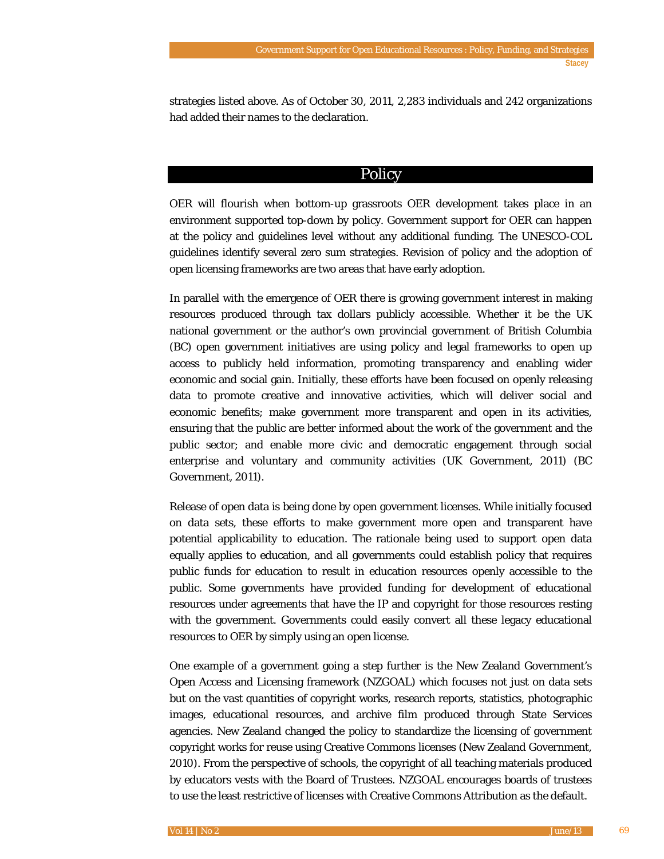strategies listed above. As of October 30, 2011, 2,283 individuals and 242 organizations had added their names to the declaration.

# **Policy**

OER will flourish when bottom-up grassroots OER development takes place in an environment supported top-down by policy. Government support for OER can happen at the policy and guidelines level without any additional funding. The UNESCO-COL guidelines identify several zero sum strategies. Revision of policy and the adoption of open licensing frameworks are two areas that have early adoption.

In parallel with the emergence of OER there is growing government interest in making resources produced through tax dollars publicly accessible. Whether it be the UK national government or the author's own provincial government of British Columbia (BC) open government initiatives are using policy and legal frameworks to open up access to publicly held information, promoting transparency and enabling wider economic and social gain. Initially, these efforts have been focused on openly releasing data to promote creative and innovative activities, which will deliver social and economic benefits; make government more transparent and open in its activities, ensuring that the public are better informed about the work of the government and the public sector; and enable more civic and democratic engagement through social enterprise and voluntary and community activities (UK Government, 2011) (BC Government, 2011).

Release of open data is being done by open government licenses. While initially focused on data sets, these efforts to make government more open and transparent have potential applicability to education. The rationale being used to support open data equally applies to education, and all governments could establish policy that requires public funds for education to result in education resources openly accessible to the public. Some governments have provided funding for development of educational resources under agreements that have the IP and copyright for those resources resting with the government. Governments could easily convert all these legacy educational resources to OER by simply using an open license.

One example of a government going a step further is the New Zealand Government's Open Access and Licensing framework (NZGOAL) which focuses not just on data sets but on the vast quantities of copyright works, research reports, statistics, photographic images, educational resources, and archive film produced through State Services agencies. New Zealand changed the policy to standardize the licensing of government copyright works for reuse using Creative Commons licenses (New Zealand Government, 2010). From the perspective of schools, the copyright of all teaching materials produced by educators vests with the Board of Trustees. NZGOAL encourages boards of trustees to use the least restrictive of licenses with Creative Commons Attribution as the default.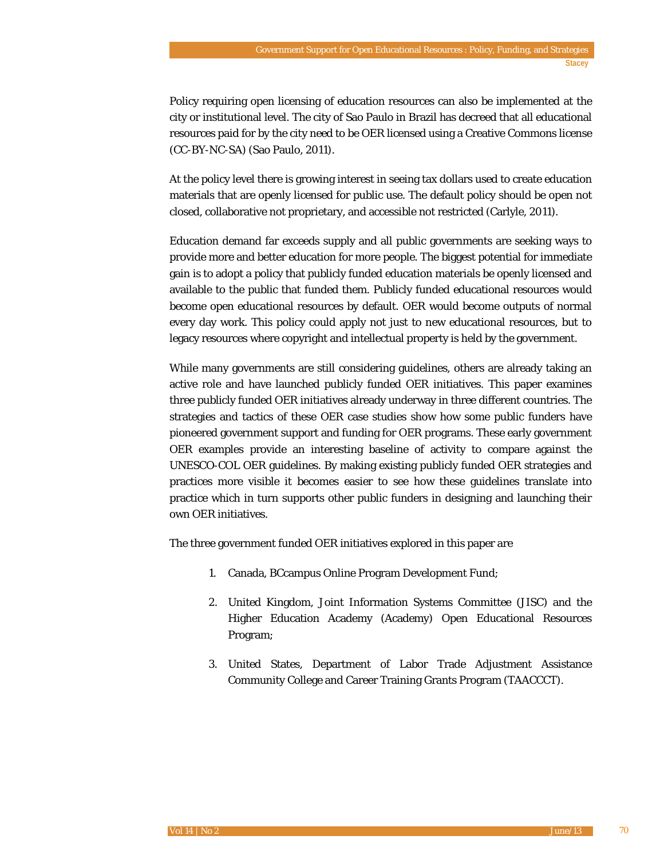Policy requiring open licensing of education resources can also be implemented at the city or institutional level. The city of Sao Paulo in Brazil has decreed that all educational resources paid for by the city need to be OER licensed using a Creative Commons license (CC-BY-NC-SA) (Sao Paulo, 2011).

At the policy level there is growing interest in seeing tax dollars used to create education materials that are openly licensed for public use. The default policy should be open not closed, collaborative not proprietary, and accessible not restricted (Carlyle, 2011).

Education demand far exceeds supply and all public governments are seeking ways to provide more and better education for more people. The biggest potential for immediate gain is to adopt a policy that publicly funded education materials be openly licensed and available to the public that funded them. Publicly funded educational resources would become open educational resources by default. OER would become outputs of normal every day work. This policy could apply not just to new educational resources, but to legacy resources where copyright and intellectual property is held by the government.

While many governments are still considering guidelines, others are already taking an active role and have launched publicly funded OER initiatives. This paper examines three publicly funded OER initiatives already underway in three different countries. The strategies and tactics of these OER case studies show how some public funders have pioneered government support and funding for OER programs. These early government OER examples provide an interesting baseline of activity to compare against the UNESCO-COL OER guidelines. By making existing publicly funded OER strategies and practices more visible it becomes easier to see how these guidelines translate into practice which in turn supports other public funders in designing and launching their own OER initiatives.

The three government funded OER initiatives explored in this paper are

- 1. Canada, BCcampus Online Program Development Fund;
- 2. United Kingdom, Joint Information Systems Committee (JISC) and the Higher Education Academy (Academy) Open Educational Resources Program;
- 3. United States, Department of Labor Trade Adjustment Assistance Community College and Career Training Grants Program (TAACCCT).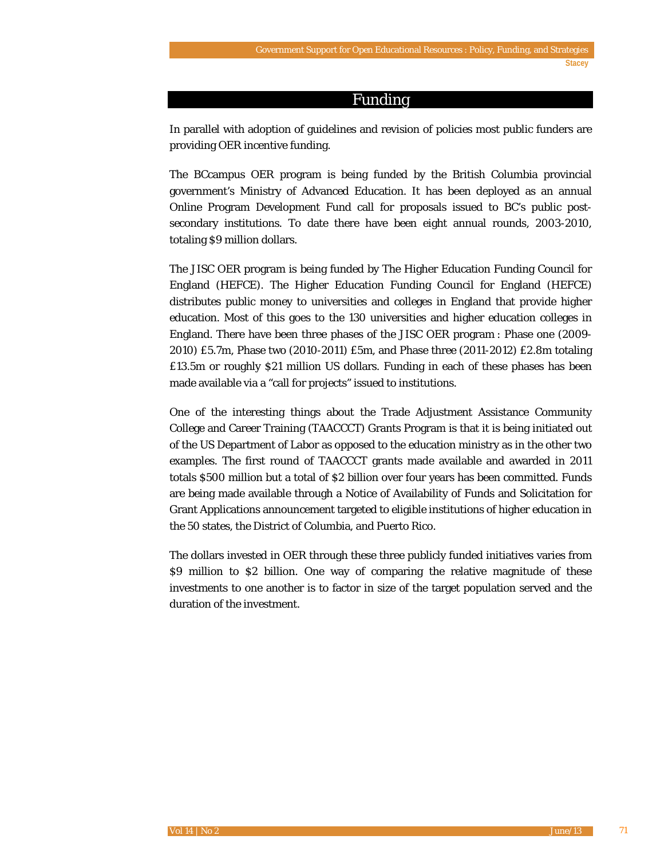#### Funding

In parallel with adoption of guidelines and revision of policies most public funders are providing OER incentive funding.

The BCcampus OER program is being funded by the British Columbia provincial government's Ministry of Advanced Education. It has been deployed as an annual Online Program Development Fund call for proposals issued to BC's public postsecondary institutions. To date there have been eight annual rounds, 2003-2010, totaling \$9 million dollars.

The JISC OER program is being funded by The Higher Education Funding Council for England (HEFCE). The Higher Education Funding Council for England (HEFCE) distributes public money to universities and colleges in England that provide higher education. Most of this goes to the 130 universities and higher education colleges in England. There have been three phases of the JISC OER program : Phase one (2009- 2010) £5.7m, Phase two (2010-2011) £5m, and Phase three (2011-2012) £2.8m totaling £13.5m or roughly \$21 million US dollars. Funding in each of these phases has been made available via a "call for projects" issued to institutions.

One of the interesting things about the Trade Adjustment Assistance Community College and Career Training (TAACCCT) Grants Program is that it is being initiated out of the US Department of Labor as opposed to the education ministry as in the other two examples. The first round of TAACCCT grants made available and awarded in 2011 totals \$500 million but a total of \$2 billion over four years has been committed. Funds are being made available through a Notice of Availability of Funds and Solicitation for Grant Applications announcement targeted to eligible institutions of higher education in the 50 states, the District of Columbia, and Puerto Rico.

The dollars invested in OER through these three publicly funded initiatives varies from \$9 million to \$2 billion. One way of comparing the relative magnitude of these investments to one another is to factor in size of the target population served and the duration of the investment.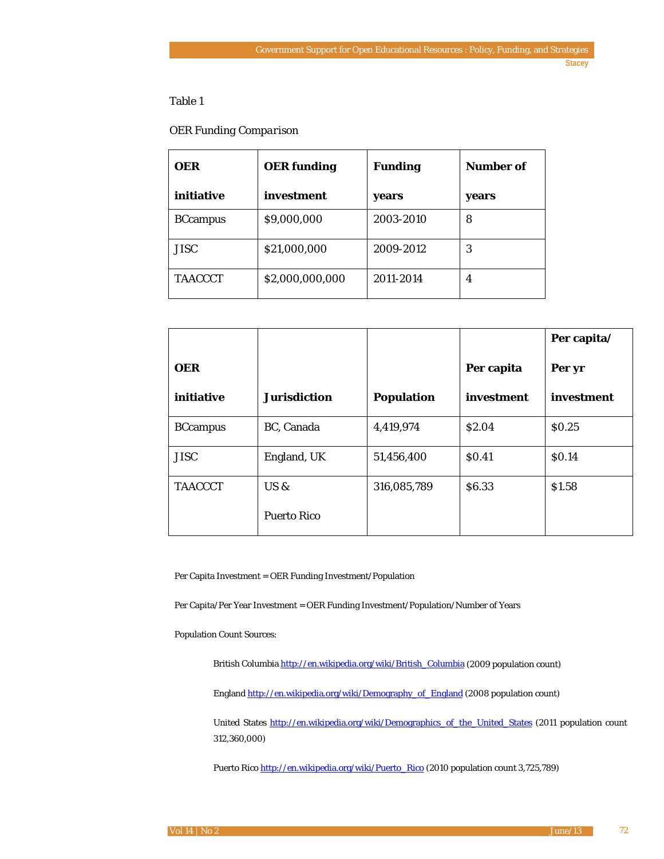### Table 1

#### *OER Funding Comparison*

| <b>OER</b>      | <b>OER</b> funding | <b>Funding</b> | <b>Number of</b> |
|-----------------|--------------------|----------------|------------------|
| initiative      | investment         | years          | years            |
| <b>BCcampus</b> | \$9,000,000        | 2003-2010      | 8                |
| <b>JISC</b>     | \$21,000,000       | 2009-2012      | 3                |
| <b>TAACCCT</b>  | \$2,000,000,000    | 2011-2014      | 4                |

|                 |                     |             |            | Per capita/  |
|-----------------|---------------------|-------------|------------|--------------|
| <b>OER</b>      |                     |             | Per capita | Per yr       |
| initiative      | <b>Jurisdiction</b> | Population  | investment | investment   |
| <b>BCcampus</b> | BC, Canada          | 4,419,974   | \$2.04     | \$0.25       |
| <b>JISC</b>     | England, UK         | 51,456,400  | \$0.41     | <b>SO.14</b> |
| <b>TAACCCT</b>  | $US \&$             | 316,085,789 | \$6.33     | \$1.58       |
|                 | <b>Puerto Rico</b>  |             |            |              |

Per Capita Investment = OER Funding Investment/Population

Per Capita/Per Year Investment = OER Funding Investment/Population/Number of Years

Population Count Sources:

British Columbia [http://en.wikipedia.org/wiki/British\\_Columbia](http://en.wikipedia.org/wiki/British_Columbia) (2009 population count)

Englan[d http://en.wikipedia.org/wiki/Demography\\_of\\_England](http://en.wikipedia.org/wiki/Demography_of_England) (2008 population count)

United States [http://en.wikipedia.org/wiki/Demographics\\_of\\_the\\_United\\_States](http://en.wikipedia.org/wiki/Demographics_of_the_United_States) (2011 population count 312,360,000)

Puerto Ric[o http://en.wikipedia.org/wiki/Puerto\\_Rico](http://en.wikipedia.org/wiki/Puerto_Rico) (2010 population count 3,725,789)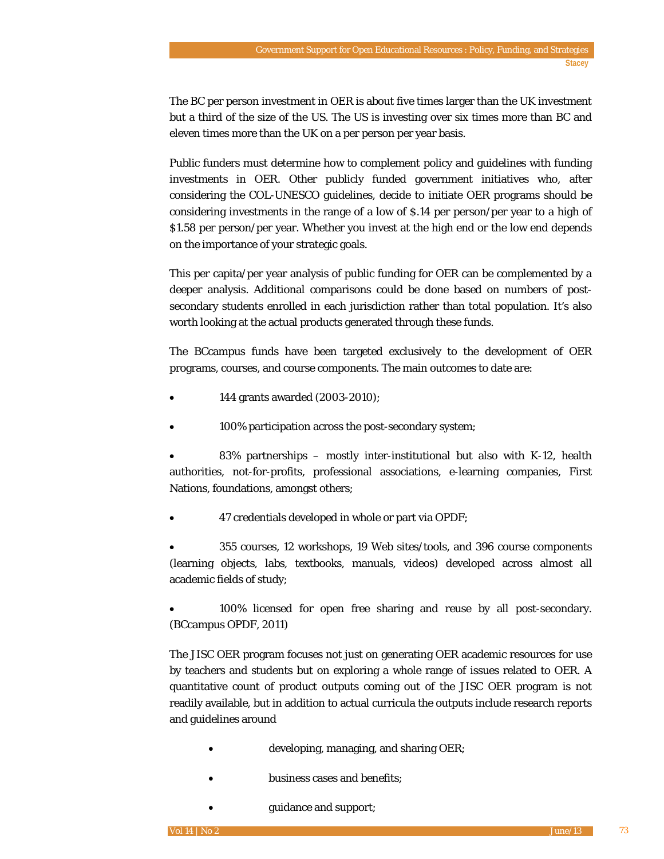The BC per person investment in OER is about five times larger than the UK investment but a third of the size of the US. The US is investing over six times more than BC and eleven times more than the UK on a per person per year basis.

Public funders must determine how to complement policy and guidelines with funding investments in OER. Other publicly funded government initiatives who, after considering the COL-UNESCO guidelines, decide to initiate OER programs should be considering investments in the range of a low of \$.14 per person/per year to a high of \$1.58 per person/per year. Whether you invest at the high end or the low end depends on the importance of your strategic goals.

This per capita/per year analysis of public funding for OER can be complemented by a deeper analysis. Additional comparisons could be done based on numbers of postsecondary students enrolled in each jurisdiction rather than total population. It's also worth looking at the actual products generated through these funds.

The BCcampus funds have been targeted exclusively to the development of OER programs, courses, and course components. The main outcomes to date are:

- 144 grants awarded (2003-2010);
- 100% participation across the post-secondary system;

83% partnerships – mostly inter-institutional but also with  $K-12$ , health authorities, not-for-profits, professional associations, e-learning companies, First Nations, foundations, amongst others;

• 47 credentials developed in whole or part via OPDF;

• 355 courses, 12 workshops, 19 Web sites/tools, and 396 course components (learning objects, labs, textbooks, manuals, videos) developed across almost all academic fields of study;

• 100% licensed for open free sharing and reuse by all post-secondary. (BCcampus OPDF, 2011)

The JISC OER program focuses not just on generating OER academic resources for use by teachers and students but on exploring a whole range of issues related to OER. A quantitative count of product outputs coming out of the JISC OER program is not readily available, but in addition to actual curricula the outputs include research reports and guidelines around

- developing, managing, and sharing OER;
- business cases and benefits;
	- guidance and support;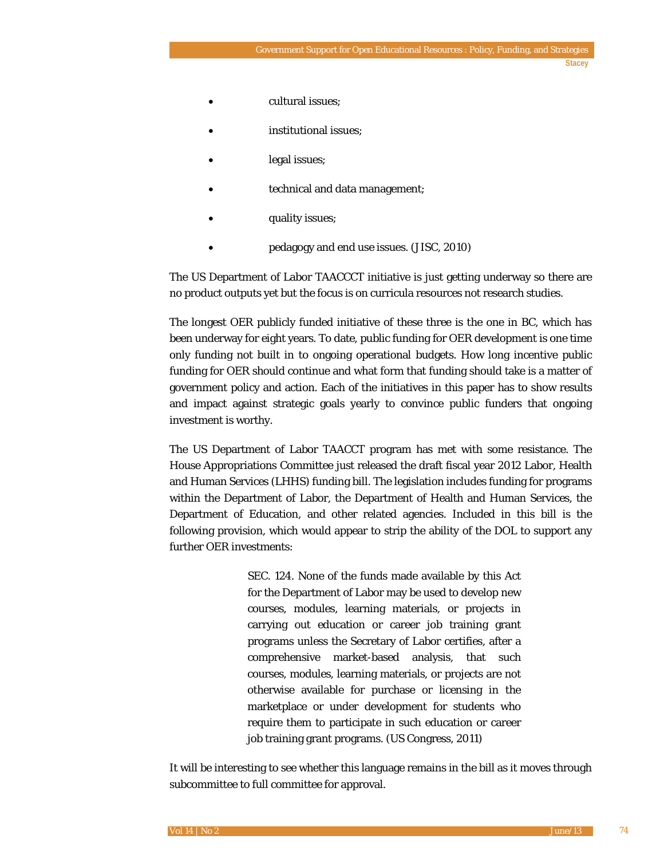- cultural issues;
- institutional issues;
- legal issues;
- technical and data management;
- quality issues;
- pedagogy and end use issues. (JISC, 2010)

The US Department of Labor TAACCCT initiative is just getting underway so there are no product outputs yet but the focus is on curricula resources not research studies.

The longest OER publicly funded initiative of these three is the one in BC, which has been underway for eight years. To date, public funding for OER development is one time only funding not built in to ongoing operational budgets. How long incentive public funding for OER should continue and what form that funding should take is a matter of government policy and action. Each of the initiatives in this paper has to show results and impact against strategic goals yearly to convince public funders that ongoing investment is worthy.

The US Department of Labor TAACCT program has met with some resistance. The House Appropriations Committee just released the draft fiscal year 2012 Labor, Health and Human Services (LHHS) funding bill. The legislation includes funding for programs within the Department of Labor, the Department of Health and Human Services, the Department of Education, and other related agencies. Included in this bill is the following provision, which would appear to strip the ability of the DOL to support any further OER investments:

> SEC. 124. None of the funds made available by this Act for the Department of Labor may be used to develop new courses, modules, learning materials, or projects in carrying out education or career job training grant programs unless the Secretary of Labor certifies, after a comprehensive market-based analysis, that such courses, modules, learning materials, or projects are not otherwise available for purchase or licensing in the marketplace or under development for students who require them to participate in such education or career job training grant programs. (US Congress, 2011)

It will be interesting to see whether this language remains in the bill as it moves through subcommittee to full committee for approval.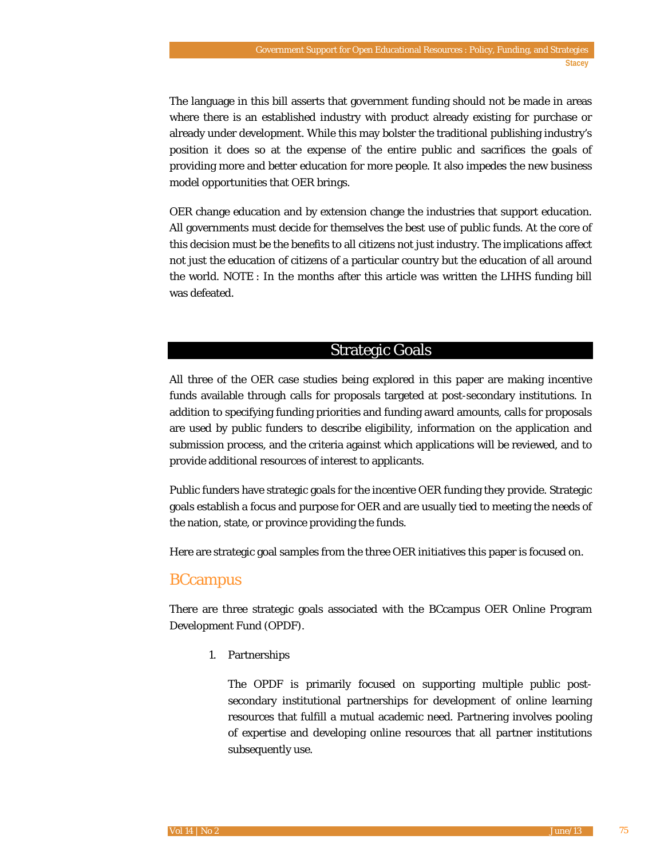The language in this bill asserts that government funding should not be made in areas where there is an established industry with product already existing for purchase or already under development. While this may bolster the traditional publishing industry's position it does so at the expense of the entire public and sacrifices the goals of providing more and better education for more people. It also impedes the new business model opportunities that OER brings.

OER change education and by extension change the industries that support education. All governments must decide for themselves the best use of public funds. At the core of this decision must be the benefits to all citizens not just industry. The implications affect not just the education of citizens of a particular country but the education of all around the world. NOTE : In the months after this article was written the LHHS funding bill was defeated.

# Strategic Goals

All three of the OER case studies being explored in this paper are making incentive funds available through calls for proposals targeted at post-secondary institutions. In addition to specifying funding priorities and funding award amounts, calls for proposals are used by public funders to describe eligibility, information on the application and submission process, and the criteria against which applications will be reviewed, and to provide additional resources of interest to applicants.

Public funders have strategic goals for the incentive OER funding they provide. Strategic goals establish a focus and purpose for OER and are usually tied to meeting the needs of the nation, state, or province providing the funds.

Here are strategic goal samples from the three OER initiatives this paper is focused on.

# **BCcampus**

There are three strategic goals associated with the BCcampus OER Online Program Development Fund (OPDF).

1. Partnerships

The OPDF is primarily focused on supporting multiple public postsecondary institutional partnerships for development of online learning resources that fulfill a mutual academic need. Partnering involves pooling of expertise and developing online resources that all partner institutions subsequently use.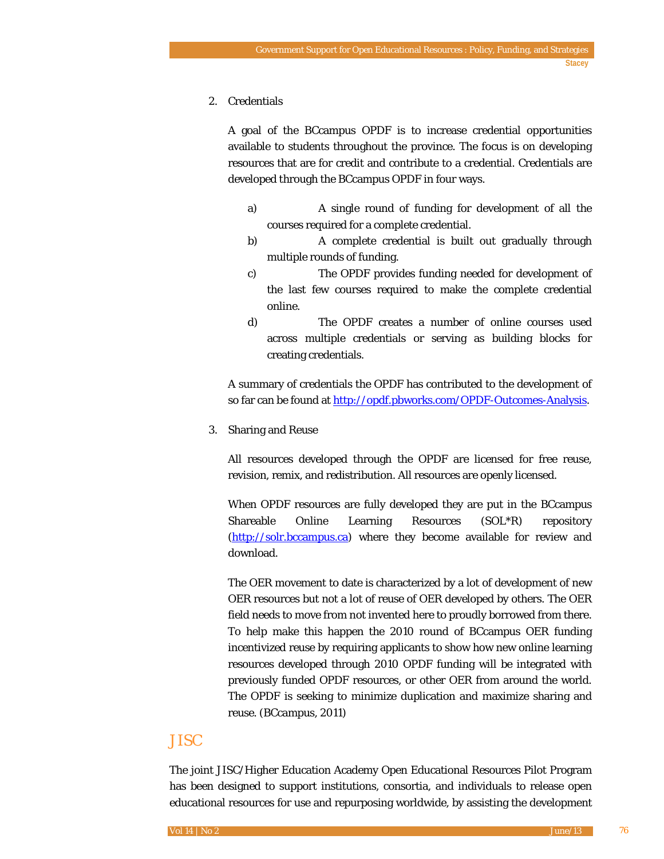#### 2. Credentials

A goal of the BCcampus OPDF is to increase credential opportunities available to students throughout the province. The focus is on developing resources that are for credit and contribute to a credential. Credentials are developed through the BCcampus OPDF in four ways.

- a) A single round of funding for development of all the courses required for a complete credential.
- b) A complete credential is built out gradually through multiple rounds of funding.
- c) The OPDF provides funding needed for development of the last few courses required to make the complete credential online.
- d) The OPDF creates a number of online courses used across multiple credentials or serving as building blocks for creating credentials.

A summary of credentials the OPDF has contributed to the development of so far can be found at [http://opdf.pbworks.com/OPDF-Outcomes-Analysis.](http://opdf.pbworks.com/OPDF-Outcomes-Analysis)

3. Sharing and Reuse

All resources developed through the OPDF are licensed for free reuse, revision, remix, and redistribution. All resources are openly licensed.

When OPDF resources are fully developed they are put in the BCcampus Shareable Online Learning Resources (SOL\*R) repository [\(http://solr.bccampus.ca\)](http://solr.bccampus.ca/) where they become available for review and download.

The OER movement to date is characterized by a lot of development of new OER resources but not a lot of reuse of OER developed by others. The OER field needs to move from not invented here to proudly borrowed from there. To help make this happen the 2010 round of BCcampus OER funding incentivized reuse by requiring applicants to show how new online learning resources developed through 2010 OPDF funding will be integrated with previously funded OPDF resources, or other OER from around the world. The OPDF is seeking to minimize duplication and maximize sharing and reuse. (BCcampus, 2011)

# JISC

The joint JISC/Higher Education Academy Open Educational Resources Pilot Program has been designed to support institutions, consortia, and individuals to release open educational resources for use and repurposing worldwide, by assisting the development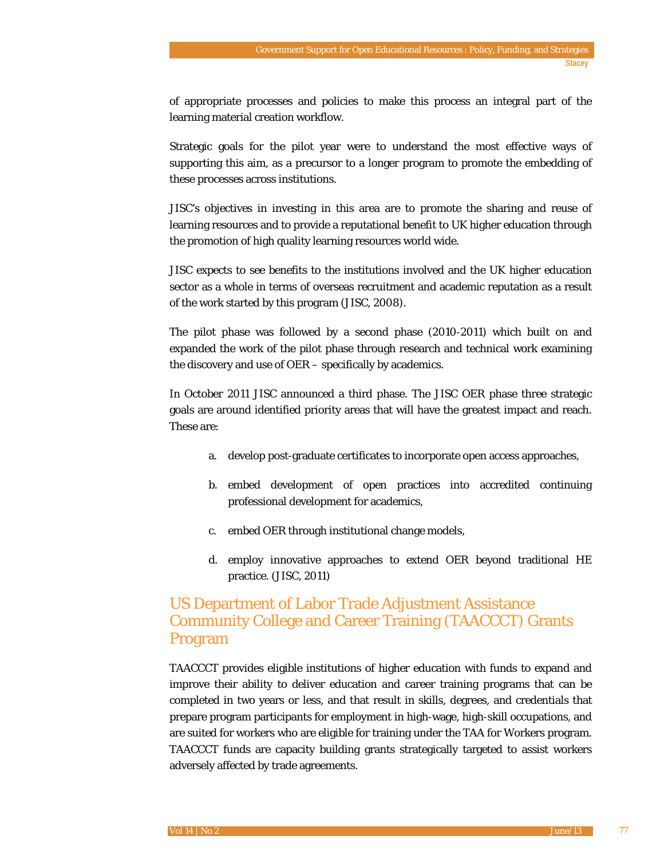of appropriate processes and policies to make this process an integral part of the learning material creation workflow.

Strategic goals for the pilot year were to understand the most effective ways of supporting this aim, as a precursor to a longer program to promote the embedding of these processes across institutions.

JISC's objectives in investing in this area are to promote the sharing and reuse of learning resources and to provide a reputational benefit to UK higher education through the promotion of high quality learning resources world wide.

JISC expects to see benefits to the institutions involved and the UK higher education sector as a whole in terms of overseas recruitment and academic reputation as a result of the work started by this program (JISC, 2008).

The pilot phase was followed by a second phase (2010-2011) which built on and expanded the work of the pilot phase through research and technical work examining the discovery and use of OER – specifically by academics.

In October 2011 JISC announced a third phase. The JISC OER phase three strategic goals are around identified priority areas that will have the greatest impact and reach. These are:

- a. develop post-graduate certificates to incorporate open access approaches,
- b. embed development of open practices into accredited continuing professional development for academics,
- c. embed OER through institutional change models,
- d. employ innovative approaches to extend OER beyond traditional HE practice. (JISC, 2011)

# US Department of Labor Trade Adjustment Assistance Community College and Career Training (TAACCCT) Grants Program

TAACCCT provides eligible institutions of higher education with funds to expand and improve their ability to deliver education and career training programs that can be completed in two years or less, and that result in skills, degrees, and credentials that prepare program participants for employment in high-wage, high-skill occupations, and are suited for workers who are eligible for training under the TAA for Workers program. TAACCCT funds are capacity building grants strategically targeted to assist workers adversely affected by trade agreements.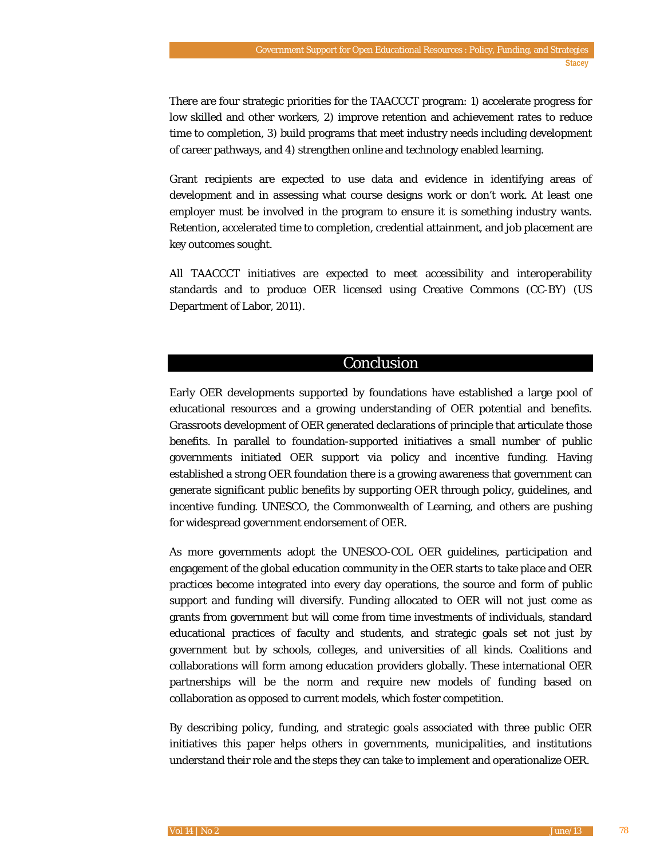There are four strategic priorities for the TAACCCT program: 1) accelerate progress for low skilled and other workers, 2) improve retention and achievement rates to reduce time to completion, 3) build programs that meet industry needs including development of career pathways, and 4) strengthen online and technology enabled learning.

Grant recipients are expected to use data and evidence in identifying areas of development and in assessing what course designs work or don't work. At least one employer must be involved in the program to ensure it is something industry wants. Retention, accelerated time to completion, credential attainment, and job placement are key outcomes sought.

All TAACCCT initiatives are expected to meet accessibility and interoperability standards and to produce OER licensed using Creative Commons (CC-BY) (US Department of Labor, 2011).

## Conclusion

Early OER developments supported by foundations have established a large pool of educational resources and a growing understanding of OER potential and benefits. Grassroots development of OER generated declarations of principle that articulate those benefits. In parallel to foundation-supported initiatives a small number of public governments initiated OER support via policy and incentive funding. Having established a strong OER foundation there is a growing awareness that government can generate significant public benefits by supporting OER through policy, guidelines, and incentive funding. UNESCO, the Commonwealth of Learning, and others are pushing for widespread government endorsement of OER.

As more governments adopt the UNESCO-COL OER guidelines, participation and engagement of the global education community in the OER starts to take place and OER practices become integrated into every day operations, the source and form of public support and funding will diversify. Funding allocated to OER will not just come as grants from government but will come from time investments of individuals, standard educational practices of faculty and students, and strategic goals set not just by government but by schools, colleges, and universities of all kinds. Coalitions and collaborations will form among education providers globally. These international OER partnerships will be the norm and require new models of funding based on collaboration as opposed to current models, which foster competition.

By describing policy, funding, and strategic goals associated with three public OER initiatives this paper helps others in governments, municipalities, and institutions understand their role and the steps they can take to implement and operationalize OER.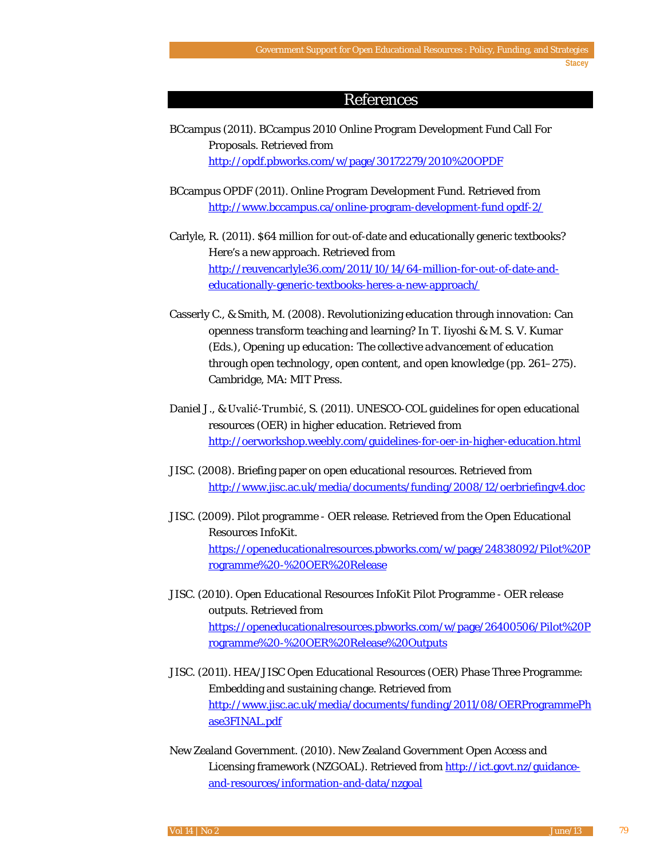#### References

- BCcampus (2011). BCcampus 2010 Online Program Development Fund Call For Proposals. Retrieved from <http://opdf.pbworks.com/w/page/30172279/2010%20OPDF>
- BCcampus OPDF (2011). Online Program Development Fund. Retrieved from [http://www.bccampus.ca/online-program-development-fund opdf-2/](http://www.bccampus.ca/online-program-development-fund%20opdf-2/)
- Carlyle, R. (2011). \$64 million for out-of-date and educationally generic textbooks? Here's a new approach*.* Retrieved from [http://reuvencarlyle36.com/2011/10/14/64-million-for-out-of-date-and](http://reuvencarlyle36.com/2011/10/14/64-million-for-out-of-date-and-educationally-generic-textbooks-heres-a-new-approach/)[educationally-generic-textbooks-heres-a-new-approach/](http://reuvencarlyle36.com/2011/10/14/64-million-for-out-of-date-and-educationally-generic-textbooks-heres-a-new-approach/)
- Casserly C., & Smith, M. (2008). Revolutionizing education through innovation: Can openness transform teaching and learning? In T. Iiyoshi & M. S. V. Kumar (Eds.), *Opening up education: The collective advancement of education through open technology, open content, and open knowledge* (pp. 261–275). Cambridge, MA: MIT Press.
- Daniel J., & Uvalić-Trumbić, S. (2011). UNESCO-COL guidelines for open educational resources (OER) in higher education. Retrieved from <http://oerworkshop.weebly.com/guidelines-for-oer-in-higher-education.html>
- JISC. (2008). Briefing paper on open educational resources. Retrieved from <http://www.jisc.ac.uk/media/documents/funding/2008/12/oerbriefingv4.doc>
- JISC. (2009). Pilot programme OER release. Retrieved from the Open Educational Resources InfoKit. [https://openeducationalresources.pbworks.com/w/page/24838092/Pilot%20P](https://openeducationalresources.pbworks.com/w/page/24838092/Pilot%20Programme%20-%20OER%20Release) [rogramme%20-%20OER%20Release](https://openeducationalresources.pbworks.com/w/page/24838092/Pilot%20Programme%20-%20OER%20Release)
- JISC. (2010). Open Educational Resources InfoKit Pilot Programme OER release outputs. Retrieved from [https://openeducationalresources.pbworks.com/w/page/26400506/Pilot%20P](https://openeducationalresources.pbworks.com/w/page/26400506/Pilot%20Programme%20-%20OER%20Release%20Outputs) [rogramme%20-%20OER%20Release%20Outputs](https://openeducationalresources.pbworks.com/w/page/26400506/Pilot%20Programme%20-%20OER%20Release%20Outputs)
- JISC. (2011). HEA/JISC Open Educational Resources (OER) Phase Three Programme: Embedding and sustaining change. Retrieved from [http://www.jisc.ac.uk/media/documents/funding/2011/08/OERProgrammePh](http://www.jisc.ac.uk/media/documents/funding/2011/08/OERProgrammePhase3FINAL.pdf) [ase3FINAL.pdf](http://www.jisc.ac.uk/media/documents/funding/2011/08/OERProgrammePhase3FINAL.pdf)
- New Zealand Government. (2010). New Zealand Government Open Access and Licensing framework (NZGOAL). Retrieved fro[m http://ict.govt.nz/guidance](http://ict.govt.nz/guidance-and-resources/information-and-data/nzgoal)[and-resources/information-and-data/nzgoal](http://ict.govt.nz/guidance-and-resources/information-and-data/nzgoal)